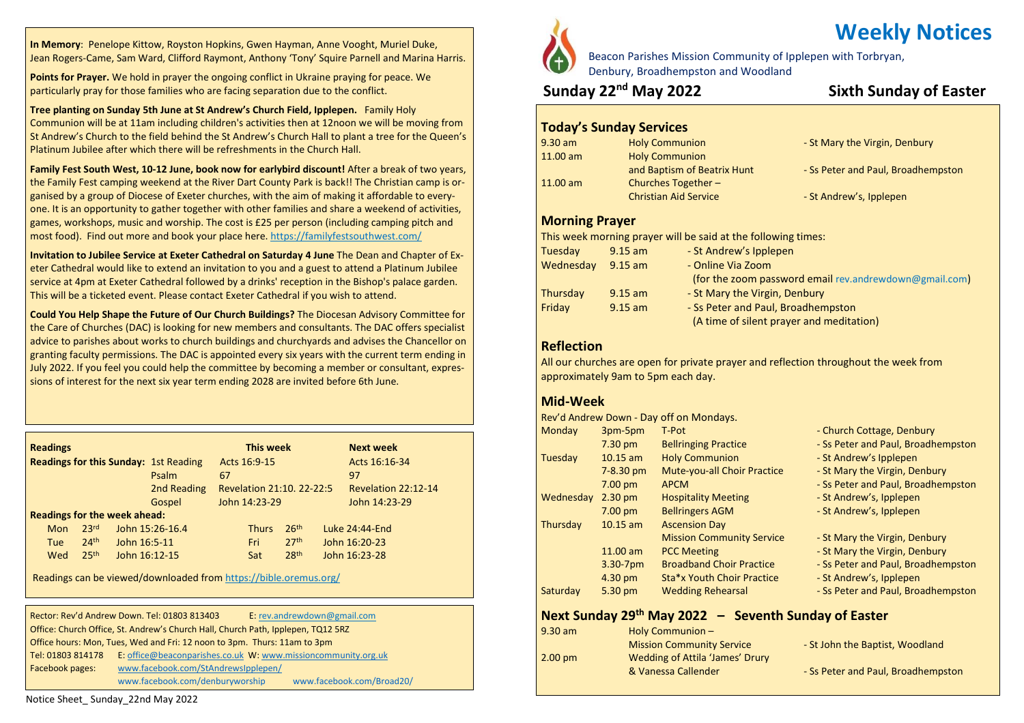**In Memory**: Penelope Kittow, Royston Hopkins, Gwen Hayman, Anne Vooght, Muriel Duke, Jean Rogers-Came, Sam Ward, Clifford Raymont, Anthony 'Tony' Squire Parnell and Marina Harris.

**Points for Prayer.** We hold in prayer the ongoing conflict in Ukraine praying for peace. We particularly pray for those families who are facing separation due to the conflict.

**Tree planting on Sunday 5th June at St Andrew's Church Field, Ipplepen.** Family Holy Communion will be at 11am including children's activities then at 12noon we will be moving from St Andrew's Church to the field behind the St Andrew's Church Hall to plant a tree for the Queen's Platinum Jubilee after which there will be refreshments in the Church Hall.

**Family Fest South West, 10-12 June, book now for earlybird discount!** After a break of two years, the Family Fest camping weekend at the River Dart County Park is back!! The Christian camp is organised by a group of Diocese of Exeter churches, with the aim of making it affordable to everyone. It is an opportunity to gather together with other families and share a weekend of activities, games, workshops, music and worship. The cost is £25 per person (including camping pitch and most food). Find out [more](https://anglican.us9.list-manage.com/track/click?u=543e9623f7379d75d88235209&id=eac940fbb7&e=694cd75516) and book your place here. <https://familyfestsouthwest.com/>

**Invitation to Jubilee Service at Exeter Cathedral on Saturday 4 June** The Dean and Chapter of Exeter Cathedral would like to extend an invitation to you and a guest to attend a Platinum Jubilee service at 4pm at Exeter Cathedral followed by a drinks' reception in the Bishop's palace garden. This will be a ticketed event. Please contact Exeter Cathedral if you wish to attend.

**Could You Help Shape the Future of Our Church Buildings?** The Diocesan Advisory Committee for the Care of Churches (DAC) is looking for new members and consultants. The DAC offers specialist advice to parishes about works to church buildings and churchyards and advises the Chancellor on granting faculty permissions. The DAC is appointed every six years with the current term ending in July 2022. If you feel you could help the committee by becoming a member or consultant, expressions of interest for the next six year term ending 2028 are invited before 6th June.

| <b>Readings</b>                              |                  |               |                 |    | This week                 |                  | <b>Next week</b>    |  |
|----------------------------------------------|------------------|---------------|-----------------|----|---------------------------|------------------|---------------------|--|
| <b>Readings for this Sunday: 1st Reading</b> |                  |               |                 |    | Acts 16:9-15              |                  | Acts 16:16-34       |  |
|                                              |                  |               | Psalm           | 67 |                           |                  | 97                  |  |
|                                              |                  |               | 2nd Reading     |    | Revelation 21:10. 22-22:5 |                  | Revelation 22:12-14 |  |
|                                              |                  |               | Gospel          |    | John 14:23-29             |                  | John 14:23-29       |  |
| <b>Readings for the week ahead:</b>          |                  |               |                 |    |                           |                  |                     |  |
| <b>Mon</b>                                   | 23 <sup>rd</sup> |               | John 15:26-16.4 |    | <b>Thurs</b>              | 26 <sup>th</sup> | Luke 24:44-End      |  |
| Tue                                          | 24 <sup>th</sup> | John 16:5-11  |                 |    | Fri                       | 27 <sup>th</sup> | John 16:20-23       |  |
| Wed                                          | 25 <sup>th</sup> | John 16:12-15 |                 |    | Sat                       | 28 <sup>th</sup> | John 16:23-28       |  |

Readings can be viewed/downloaded from <https://bible.oremus.org/>

|                   | Rector: Rev'd Andrew Down. Tel: 01803 813403                                     | E: rev.andrewdown@gmail.com                                   |  |
|-------------------|----------------------------------------------------------------------------------|---------------------------------------------------------------|--|
|                   | Office: Church Office, St. Andrew's Church Hall, Church Path, Ipplepen, TQ12 5RZ |                                                               |  |
|                   | Office hours: Mon, Tues, Wed and Fri: 12 noon to 3pm. Thurs: 11am to 3pm         |                                                               |  |
| Tel: 01803 814178 |                                                                                  | E: office@beaconparishes.co.uk W: www.missioncommunity.org.uk |  |
| Facebook pages:   | www.facebook.com/StAndrewsIpplepen/                                              |                                                               |  |
|                   | www.facebook.com/denburyworship                                                  | www.facebook.com/Broad20/                                     |  |



# **Weekly Notices**

Beacon Parishes Mission Community of Ipplepen with Torbryan, Denbury, Broadhempston and Woodland

### **Sunday 22nd May 2022 Sixth Sunday of Easter**

#### **Today's Sunday Services**

| $9.30$ am  | <b>Holy Communion</b>        | - St Mary the Virgin, Denbury      |
|------------|------------------------------|------------------------------------|
| $11.00$ am | <b>Holy Communion</b>        |                                    |
|            | and Baptism of Beatrix Hunt  | - Ss Peter and Paul, Broadhempston |
| $11.00$ am | Churches Together -          |                                    |
|            | <b>Christian Aid Service</b> | - St Andrew's, Ipplepen            |

#### **Morning Prayer**

This week morning prayer will be said at the following times:

| $9.15$ am | - St Andrew's Ipplepen                                 |
|-----------|--------------------------------------------------------|
| $9.15$ am | - Online Via Zoom                                      |
|           | (for the zoom password email rev.andrewdown@gmail.com) |
| $9.15$ am | - St Mary the Virgin, Denbury                          |
| $9.15$ am | - Ss Peter and Paul, Broadhempston                     |
|           | (A time of silent prayer and meditation)               |
|           |                                                        |

#### **Reflection**

All our churches are open for private prayer and reflection throughout the week from approximately 9am to 5pm each day.

#### **Mid-Week**

|           |                   | Rev'd Andrew Down - Day off on Mondays. |                                    |  |  |
|-----------|-------------------|-----------------------------------------|------------------------------------|--|--|
| Monday    | 3pm-5pm           | T-Pot                                   | - Church Cottage, Denbury          |  |  |
|           | $7.30 \text{ pm}$ | <b>Bellringing Practice</b>             | - Ss Peter and Paul, Broadhempston |  |  |
| Tuesday   | $10.15$ am        | <b>Holy Communion</b>                   | - St Andrew's Ipplepen             |  |  |
|           | $7 - 8.30$ pm     | <b>Mute-you-all Choir Practice</b>      | - St Mary the Virgin, Denbury      |  |  |
|           | $7.00 \text{ pm}$ | <b>APCM</b>                             | - Ss Peter and Paul, Broadhempston |  |  |
| Wednesday | $2.30$ pm         | <b>Hospitality Meeting</b>              | - St Andrew's, Ipplepen            |  |  |
|           | $7.00$ pm         | <b>Bellringers AGM</b>                  | - St Andrew's, Ipplepen            |  |  |
| Thursday  | $10.15$ am        | <b>Ascension Day</b>                    |                                    |  |  |
|           |                   | <b>Mission Community Service</b>        | - St Mary the Virgin, Denbury      |  |  |
|           | 11.00 am          | <b>PCC Meeting</b>                      | - St Mary the Virgin, Denbury      |  |  |
|           | $3.30 - 7pm$      | <b>Broadband Choir Practice</b>         | - Ss Peter and Paul, Broadhempston |  |  |
|           | 4.30 pm           | Sta*x Youth Choir Practice              | - St Andrew's, Ipplepen            |  |  |
| Saturday  | 5.30 pm           | <b>Wedding Rehearsal</b>                | - Ss Peter and Paul, Broadhempston |  |  |
|           |                   |                                         |                                    |  |  |

#### **Next Sunday 29th May 2022 – Seventh Sunday of Easter**

| $9.30$ am         | Holy Communion-                  |                                    |
|-------------------|----------------------------------|------------------------------------|
|                   | <b>Mission Community Service</b> | - St John the Baptist, Woodland    |
| $2.00 \text{ pm}$ | Wedding of Attila 'James' Drury  |                                    |
|                   | & Vanessa Callender              | - Ss Peter and Paul, Broadhempston |

Notice Sheet\_ Sunday\_22nd May 2022